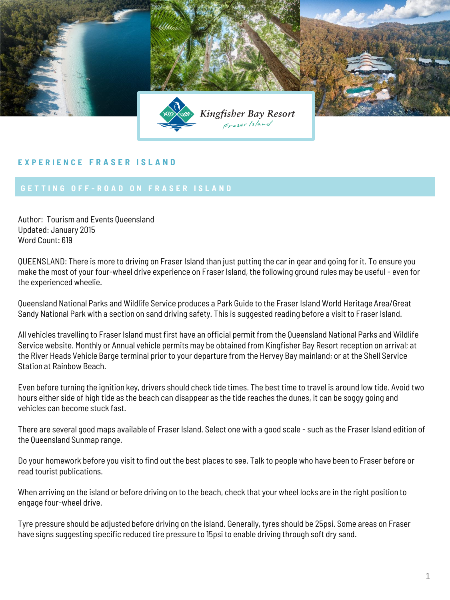

## **E X P E R I E N C E F R A S E R I S L A N D**

Author: Tourism and Events Queensland Updated: January 2015 Word Count: 619

QUEENSLAND: There is more to driving on Fraser Island than just putting the car in gear and going for it. To ensure you make the most of your four-wheel drive experience on Fraser Island, the following ground rules may be useful - even for the experienced wheelie.

Queensland National Parks and Wildlife Service produces a Park Guide to the Fraser Island World Heritage Area/Great Sandy National Park with a section on sand driving safety. This is suggested reading before a visit to Fraser Island.

All vehicles travelling to Fraser Island must first have an official permit from the Queensland National Parks and Wildlife Service website. Monthly or Annual vehicle permits may be obtained from Kingfisher Bay Resort reception on arrival; at the River Heads Vehicle Barge terminal prior to your departure from the Hervey Bay mainland; or at the Shell Service Station at Rainbow Beach.

Even before turning the ignition key, drivers should check tide times. The best time to travel is around low tide. Avoid two hours either side of high tide as the beach can disappear as the tide reaches the dunes, it can be soggy going and vehicles can become stuck fast.

There are several good maps available of Fraser Island. Select one with a good scale - such as the Fraser Island edition of the Queensland Sunmap range.

Do your homework before you visit to find out the best places to see. Talk to people who have been to Fraser before or read tourist publications.

When arriving on the island or before driving on to the beach, check that your wheel locks are in the right position to engage four-wheel drive.

Tyre pressure should be adjusted before driving on the island. Generally, tyres should be 25psi. Some areas on Fraser have signs suggesting specific reduced tire pressure to 15psi to enable driving through soft dry sand.